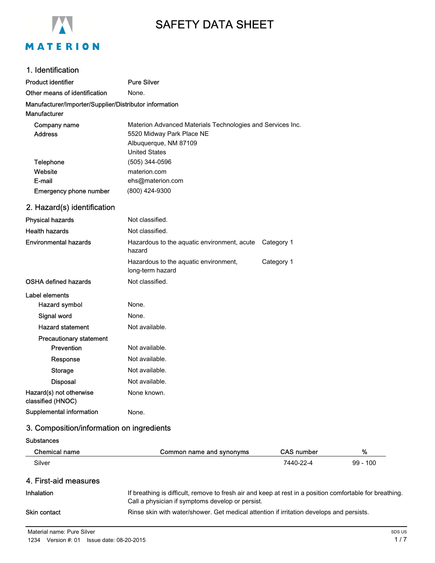

# SAFETY DATA SHEET

#### 1. Identification

| Product identifier                                                            | <b>Pure Silver</b>                                                                      |            |
|-------------------------------------------------------------------------------|-----------------------------------------------------------------------------------------|------------|
| Other means of identification                                                 | None.                                                                                   |            |
| Manufacturer/Importer/Supplier/Distributor information<br><b>Manufacturer</b> |                                                                                         |            |
| Company name<br><b>Address</b>                                                | Materion Advanced Materials Technologies and Services Inc.<br>5520 Midway Park Place NE |            |
|                                                                               | Albuquerque, NM 87109                                                                   |            |
|                                                                               | <b>United States</b>                                                                    |            |
| Telephone                                                                     | (505) 344-0596                                                                          |            |
| Website                                                                       | materion.com                                                                            |            |
| E-mail                                                                        | ehs@materion.com                                                                        |            |
| <b>Emergency phone number</b>                                                 | (800) 424-9300                                                                          |            |
| 2. Hazard(s) identification                                                   |                                                                                         |            |
| <b>Physical hazards</b>                                                       | Not classified.                                                                         |            |
| <b>Health hazards</b>                                                         | Not classified.                                                                         |            |
| <b>Environmental hazards</b>                                                  | Hazardous to the aquatic environment, acute<br>hazard                                   | Category 1 |
|                                                                               | Hazardous to the aquatic environment,<br>long-term hazard                               | Category 1 |
| <b>OSHA defined hazards</b>                                                   | Not classified.                                                                         |            |
| Label elements                                                                |                                                                                         |            |
| Hazard symbol                                                                 | None.                                                                                   |            |
| Signal word                                                                   | None.                                                                                   |            |
| <b>Hazard statement</b>                                                       | Not available.                                                                          |            |
| <b>Precautionary statement</b>                                                |                                                                                         |            |
| Prevention                                                                    | Not available.                                                                          |            |
| Response                                                                      | Not available.                                                                          |            |
| <b>Storage</b>                                                                | Not available.                                                                          |            |
| <b>Disposal</b>                                                               | Not available.                                                                          |            |
| Hazard(s) not otherwise<br>classified (HNOC)                                  | None known.                                                                             |            |
| Supplemental information                                                      | None.                                                                                   |            |

# 3. Composition/information on ingredients

| <b>Substances</b> |  |
|-------------------|--|
|-------------------|--|

| Chemical name         | Common name and synonyms                                                                                                                                     | <b>CAS number</b> | %          |
|-----------------------|--------------------------------------------------------------------------------------------------------------------------------------------------------------|-------------------|------------|
| Silver                |                                                                                                                                                              | 7440-22-4         | $99 - 100$ |
| 4. First-aid measures |                                                                                                                                                              |                   |            |
| Inhalation            | If breathing is difficult, remove to fresh air and keep at rest in a position comfortable for breathing.<br>Call a physician if symptoms develop or persist. |                   |            |
| <b>Skin contact</b>   | Rinse skin with water/shower. Get medical attention if irritation develops and persists.                                                                     |                   |            |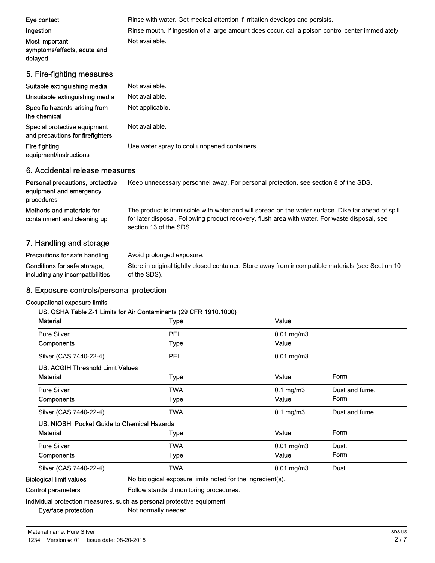| Eye contact<br>Ingestion<br>Most important<br>symptoms/effects, acute and<br>delayed | Rinse with water. Get medical attention if irritation develops and persists.<br>Rinse mouth. If ingestion of a large amount does occur, call a poison control center immediately.<br>Not available. |
|--------------------------------------------------------------------------------------|-----------------------------------------------------------------------------------------------------------------------------------------------------------------------------------------------------|
| 5. Fire-fighting measures                                                            |                                                                                                                                                                                                     |
| Suitable extinguishing media                                                         | Not available.                                                                                                                                                                                      |
| Unsuitable extinguishing media                                                       | Not available.                                                                                                                                                                                      |
| Specific hazards arising from<br>the chemical                                        | Not applicable.                                                                                                                                                                                     |
| Special protective equipment<br>and precautions for firefighters                     | Not available.                                                                                                                                                                                      |
| Fire fighting<br>equipment/instructions                                              | Use water spray to cool unopened containers.                                                                                                                                                        |
| 6. Accidental release measures                                                       |                                                                                                                                                                                                     |
| Personal precautions, protective<br>equipment and emergency<br>procedures            | Keep unnecessary personnel away. For personal protection, see section 8 of the SDS.                                                                                                                 |

The product is immiscible with water and will spread on the water surface. Dike far ahead of spill for later disposal. Following product recovery, flush area with water. For waste disposal, see section 13 of the SDS. Methods and materials for containment and cleaning up

## 7. Handling and storage

| Precautions for safe handling   | Avoid prolonged exposure.                                                                          |
|---------------------------------|----------------------------------------------------------------------------------------------------|
| Conditions for safe storage.    | Store in original tightly closed container. Store away from incompatible materials (see Section 10 |
| including any incompatibilities | of the SDS).                                                                                       |

## 8. Exposure controls/personal protection

#### Occupational exposure limits

#### US. OSHA Table Z-1 Limits for Air Contaminants (29 CFR 1910.1000)

| <b>Material</b>                             | <b>Type</b>                                                           | Value           |                |
|---------------------------------------------|-----------------------------------------------------------------------|-----------------|----------------|
| Pure Silver                                 | <b>PEL</b>                                                            | $0.01$ mg/m $3$ |                |
| Components                                  | Type                                                                  | Value           |                |
| Silver (CAS 7440-22-4)                      | PEL                                                                   | $0.01$ mg/m $3$ |                |
| <b>US. ACGIH Threshold Limit Values</b>     |                                                                       |                 |                |
| <b>Material</b>                             | Type                                                                  | Value           | Form           |
| <b>Pure Silver</b>                          | TWA                                                                   | $0.1$ mg/m $3$  | Dust and fume. |
| Components                                  | Type                                                                  | Value           | Form           |
| Silver (CAS 7440-22-4)                      | <b>TWA</b>                                                            | $0.1$ mg/m $3$  | Dust and fume. |
| US. NIOSH: Pocket Guide to Chemical Hazards |                                                                       |                 |                |
| <b>Material</b>                             | Type                                                                  | Value           | Form           |
| <b>Pure Silver</b>                          | TWA                                                                   | $0.01$ mg/m $3$ | Dust.          |
| Components                                  | Type                                                                  | Value           | Form           |
| Silver (CAS 7440-22-4)                      | TWA                                                                   | $0.01$ mg/m $3$ | Dust.          |
| <b>Biological limit values</b>              | No biological exposure limits noted for the ingredient(s).            |                 |                |
| Control parameters                          | Follow standard monitoring procedures.                                |                 |                |
|                                             | Individual protection measures, such as personal protective equipment |                 |                |

Eye/face protection Not normally needed.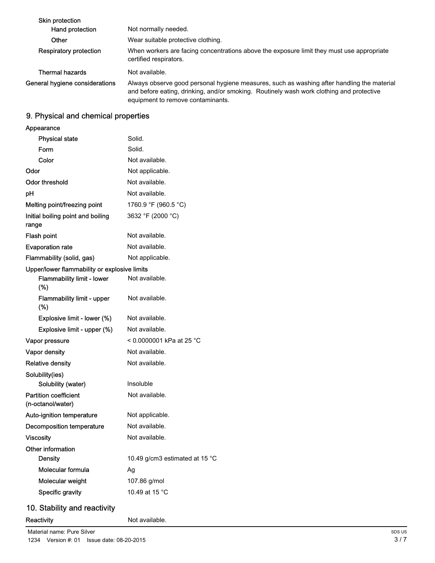| <b>Skin protection</b>         |                                                                                                                                                                                                                             |
|--------------------------------|-----------------------------------------------------------------------------------------------------------------------------------------------------------------------------------------------------------------------------|
| Hand protection                | Not normally needed.                                                                                                                                                                                                        |
| Other                          | Wear suitable protective clothing.                                                                                                                                                                                          |
| <b>Respiratory protection</b>  | When workers are facing concentrations above the exposure limit they must use appropriate<br>certified respirators.                                                                                                         |
| Thermal hazards                | Not available.                                                                                                                                                                                                              |
| General hygiene considerations | Always observe good personal hygiene measures, such as washing after handling the material<br>and before eating, drinking, and/or smoking. Routinely wash work clothing and protective<br>equipment to remove contaminants. |

# 9. Physical and chemical properties

| Appearance                                        |                                |
|---------------------------------------------------|--------------------------------|
| <b>Physical state</b>                             | Solid.                         |
| Form                                              | Solid.                         |
| Color                                             | Not available.                 |
| Odor                                              | Not applicable.                |
| <b>Odor threshold</b>                             | Not available.                 |
| рH                                                | Not available.                 |
| Melting point/freezing point                      | 1760.9 °F (960.5 °C)           |
| Initial boiling point and boiling<br>range        | 3632 °F (2000 °C)              |
| Flash point                                       | Not available.                 |
| <b>Evaporation rate</b>                           | Not available.                 |
| Flammability (solid, gas)                         | Not applicable.                |
| Upper/lower flammability or explosive limits      |                                |
| <b>Flammability limit - lower</b><br>(%)          | Not available.                 |
| Flammability limit - upper<br>$(\%)$              | Not available.                 |
| Explosive limit - lower (%)                       | Not available.                 |
| Explosive limit - upper (%)                       | Not available.                 |
| Vapor pressure                                    | < 0.0000001 kPa at 25 °C       |
| Vapor density                                     | Not available.                 |
| <b>Relative density</b>                           | Not available.                 |
| Solubility(ies)                                   |                                |
| Solubility (water)                                | Insoluble                      |
| <b>Partition coefficient</b><br>(n-octanol/water) | Not available.                 |
| Auto-ignition temperature                         | Not applicable.                |
| Decomposition temperature                         | Not available.                 |
| <b>Viscosity</b>                                  | Not available.                 |
| Other information                                 |                                |
| <b>Density</b>                                    | 10.49 g/cm3 estimated at 15 °C |
| Molecular formula                                 | Ag                             |
| Molecular weight                                  | 107.86 g/mol                   |
| Specific gravity                                  | 10.49 at 15 °C                 |

# 10. Stability and reactivity

Reactivity **Not available.**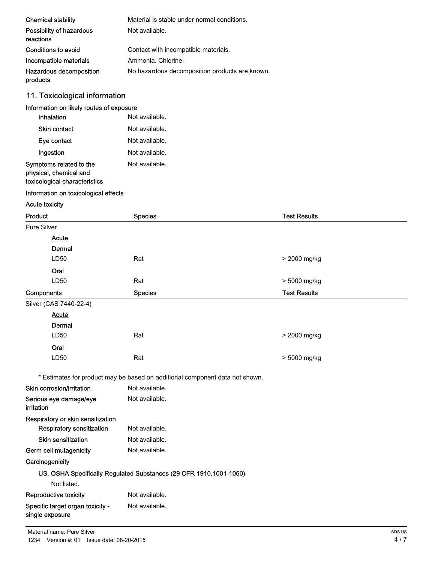| <b>Chemical stability</b>             | Material is stable under normal conditions.    |
|---------------------------------------|------------------------------------------------|
| Possibility of hazardous<br>reactions | Not available.                                 |
| Conditions to avoid                   | Contact with incompatible materials.           |
| Incompatible materials                | Ammonia, Chlorine,                             |
| Hazardous decomposition<br>products   | No hazardous decomposition products are known. |

# 11. Toxicological information

#### Information on likely routes of exposure

| Inhalation                                                                         | Not available. |
|------------------------------------------------------------------------------------|----------------|
| <b>Skin contact</b>                                                                | Not available. |
| Eye contact                                                                        | Not available. |
| Ingestion                                                                          | Not available. |
| Symptoms related to the<br>physical, chemical and<br>toxicological characteristics | Not available. |

#### Information on toxicological effects

#### Acute toxicity

| Product                                             | <b>Species</b>                                                               | <b>Test Results</b> |
|-----------------------------------------------------|------------------------------------------------------------------------------|---------------------|
| Pure Silver                                         |                                                                              |                     |
| <b>Acute</b>                                        |                                                                              |                     |
| Dermal                                              |                                                                              |                     |
| LD50                                                | Rat                                                                          | > 2000 mg/kg        |
| Oral                                                |                                                                              |                     |
| LD50                                                | Rat                                                                          | > 5000 mg/kg        |
| Components                                          | <b>Species</b>                                                               | <b>Test Results</b> |
| Silver (CAS 7440-22-4)                              |                                                                              |                     |
| <b>Acute</b>                                        |                                                                              |                     |
| Dermal                                              |                                                                              |                     |
| LD50                                                | Rat                                                                          | > 2000 mg/kg        |
| Oral                                                |                                                                              |                     |
| LD50                                                | Rat                                                                          | > 5000 mg/kg        |
|                                                     | * Estimates for product may be based on additional component data not shown. |                     |
| Skin corrosion/irritation                           | Not available.                                                               |                     |
| Serious eye damage/eye<br>irritation                | Not available.                                                               |                     |
| Respiratory or skin sensitization                   |                                                                              |                     |
| Respiratory sensitization                           | Not available.                                                               |                     |
| <b>Skin sensitization</b>                           | Not available.                                                               |                     |
| Germ cell mutagenicity                              | Not available.                                                               |                     |
| Carcinogenicity                                     |                                                                              |                     |
|                                                     | US. OSHA Specifically Regulated Substances (29 CFR 1910.1001-1050)           |                     |
| Not listed.                                         |                                                                              |                     |
| Reproductive toxicity                               | Not available.                                                               |                     |
| Specific target organ toxicity -<br>single exposure | Not available.                                                               |                     |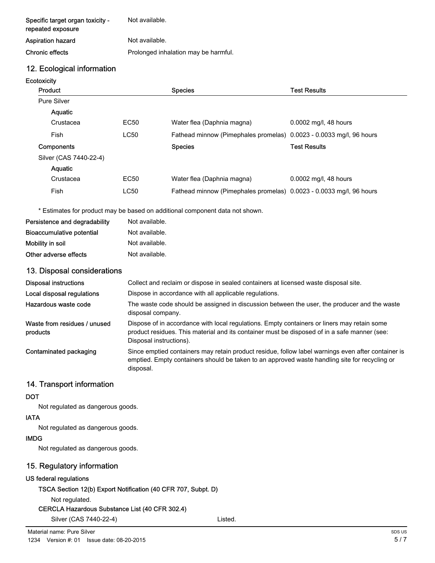| Specific target organ toxicity -<br>repeated exposure | Not available.                       |
|-------------------------------------------------------|--------------------------------------|
| Aspiration hazard                                     | Not available.                       |
| Chronic effects                                       | Prolonged inhalation may be harmful. |

### 12. Ecological information

**Ecotoxicity** 

| Product                |             | <b>Species</b>                                                      | Test Results          |
|------------------------|-------------|---------------------------------------------------------------------|-----------------------|
| <b>Pure Silver</b>     |             |                                                                     |                       |
| Aquatic                |             |                                                                     |                       |
| Crustacea              | EC50        | Water flea (Daphnia magna)                                          | 0.0002 mg/l, 48 hours |
| Fish                   | <b>LC50</b> | Fathead minnow (Pimephales promelas) 0.0023 - 0.0033 mg/l, 96 hours |                       |
| <b>Components</b>      |             | <b>Species</b>                                                      | <b>Test Results</b>   |
| Silver (CAS 7440-22-4) |             |                                                                     |                       |
| <b>Aquatic</b>         |             |                                                                     |                       |
| Crustacea              | EC50        | Water flea (Daphnia magna)                                          | 0.0002 mg/l, 48 hours |
| Fish                   | <b>LC50</b> | Fathead minnow (Pimephales promelas) 0.0023 - 0.0033 mg/l, 96 hours |                       |

\* Estimates for product may be based on additional component data not shown.

| Persistence and degradability    | Not available. |
|----------------------------------|----------------|
| <b>Bioaccumulative potential</b> | Not available. |
| Mobility in soil                 | Not available. |
| Other adverse effects            | Not available. |

#### 13. Disposal considerations

| Disposal instructions                    | Collect and reclaim or dispose in sealed containers at licensed waste disposal site.                                                                                                                                   |  |  |
|------------------------------------------|------------------------------------------------------------------------------------------------------------------------------------------------------------------------------------------------------------------------|--|--|
| Local disposal regulations               | Dispose in accordance with all applicable regulations.                                                                                                                                                                 |  |  |
| Hazardous waste code                     | The waste code should be assigned in discussion between the user, the producer and the waste<br>disposal company.                                                                                                      |  |  |
| Waste from residues / unused<br>products | Dispose of in accordance with local regulations. Empty containers or liners may retain some<br>product residues. This material and its container must be disposed of in a safe manner (see:<br>Disposal instructions). |  |  |
| Contaminated packaging                   | Since emptied containers may retain product residue, follow label warnings even after container is<br>emptied. Empty containers should be taken to an approved waste handling site for recycling or<br>disposal.       |  |  |

#### 14. Transport information

#### **DOT**

Not regulated as dangerous goods.

### IATA

Not regulated as dangerous goods.

#### IMDG

Not regulated as dangerous goods.

## 15. Regulatory information

## US federal regulations

TSCA Section 12(b) Export Notification (40 CFR 707, Subpt. D)

Not regulated.

```
CERCLA Hazardous Substance List (40 CFR 302.4)
```
Silver (CAS 7440-22-4) Listed.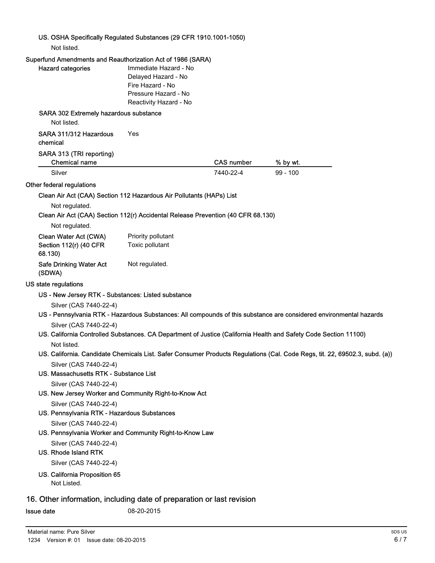#### US. OSHA Specifically Regulated Substances (29 CFR 1910.1001-1050)

Not listed.

### Superfund Amendments and Reauthorization Act of 1986 (SARA)

| Immediate Hazard - No |                                                                                                                                                                                                                                       |                                                                                                                                                                                                                                                                                                                                                                                                                                                                                                                                                                                                                                                                                                                            |
|-----------------------|---------------------------------------------------------------------------------------------------------------------------------------------------------------------------------------------------------------------------------------|----------------------------------------------------------------------------------------------------------------------------------------------------------------------------------------------------------------------------------------------------------------------------------------------------------------------------------------------------------------------------------------------------------------------------------------------------------------------------------------------------------------------------------------------------------------------------------------------------------------------------------------------------------------------------------------------------------------------------|
| Delayed Hazard - No   |                                                                                                                                                                                                                                       |                                                                                                                                                                                                                                                                                                                                                                                                                                                                                                                                                                                                                                                                                                                            |
| Fire Hazard - No      |                                                                                                                                                                                                                                       |                                                                                                                                                                                                                                                                                                                                                                                                                                                                                                                                                                                                                                                                                                                            |
| Pressure Hazard - No  |                                                                                                                                                                                                                                       |                                                                                                                                                                                                                                                                                                                                                                                                                                                                                                                                                                                                                                                                                                                            |
|                       |                                                                                                                                                                                                                                       |                                                                                                                                                                                                                                                                                                                                                                                                                                                                                                                                                                                                                                                                                                                            |
|                       |                                                                                                                                                                                                                                       |                                                                                                                                                                                                                                                                                                                                                                                                                                                                                                                                                                                                                                                                                                                            |
|                       |                                                                                                                                                                                                                                       |                                                                                                                                                                                                                                                                                                                                                                                                                                                                                                                                                                                                                                                                                                                            |
| Yes                   |                                                                                                                                                                                                                                       |                                                                                                                                                                                                                                                                                                                                                                                                                                                                                                                                                                                                                                                                                                                            |
|                       | <b>CAS number</b>                                                                                                                                                                                                                     | % by wt.                                                                                                                                                                                                                                                                                                                                                                                                                                                                                                                                                                                                                                                                                                                   |
|                       | 7440-22-4                                                                                                                                                                                                                             | $99 - 100$                                                                                                                                                                                                                                                                                                                                                                                                                                                                                                                                                                                                                                                                                                                 |
|                       |                                                                                                                                                                                                                                       |                                                                                                                                                                                                                                                                                                                                                                                                                                                                                                                                                                                                                                                                                                                            |
|                       |                                                                                                                                                                                                                                       |                                                                                                                                                                                                                                                                                                                                                                                                                                                                                                                                                                                                                                                                                                                            |
|                       |                                                                                                                                                                                                                                       |                                                                                                                                                                                                                                                                                                                                                                                                                                                                                                                                                                                                                                                                                                                            |
|                       |                                                                                                                                                                                                                                       |                                                                                                                                                                                                                                                                                                                                                                                                                                                                                                                                                                                                                                                                                                                            |
|                       |                                                                                                                                                                                                                                       |                                                                                                                                                                                                                                                                                                                                                                                                                                                                                                                                                                                                                                                                                                                            |
|                       |                                                                                                                                                                                                                                       |                                                                                                                                                                                                                                                                                                                                                                                                                                                                                                                                                                                                                                                                                                                            |
| Toxic pollutant       |                                                                                                                                                                                                                                       |                                                                                                                                                                                                                                                                                                                                                                                                                                                                                                                                                                                                                                                                                                                            |
| Not regulated.        |                                                                                                                                                                                                                                       |                                                                                                                                                                                                                                                                                                                                                                                                                                                                                                                                                                                                                                                                                                                            |
|                       |                                                                                                                                                                                                                                       |                                                                                                                                                                                                                                                                                                                                                                                                                                                                                                                                                                                                                                                                                                                            |
|                       |                                                                                                                                                                                                                                       |                                                                                                                                                                                                                                                                                                                                                                                                                                                                                                                                                                                                                                                                                                                            |
|                       |                                                                                                                                                                                                                                       |                                                                                                                                                                                                                                                                                                                                                                                                                                                                                                                                                                                                                                                                                                                            |
|                       |                                                                                                                                                                                                                                       |                                                                                                                                                                                                                                                                                                                                                                                                                                                                                                                                                                                                                                                                                                                            |
|                       |                                                                                                                                                                                                                                       |                                                                                                                                                                                                                                                                                                                                                                                                                                                                                                                                                                                                                                                                                                                            |
|                       |                                                                                                                                                                                                                                       |                                                                                                                                                                                                                                                                                                                                                                                                                                                                                                                                                                                                                                                                                                                            |
|                       |                                                                                                                                                                                                                                       |                                                                                                                                                                                                                                                                                                                                                                                                                                                                                                                                                                                                                                                                                                                            |
|                       |                                                                                                                                                                                                                                       |                                                                                                                                                                                                                                                                                                                                                                                                                                                                                                                                                                                                                                                                                                                            |
|                       |                                                                                                                                                                                                                                       |                                                                                                                                                                                                                                                                                                                                                                                                                                                                                                                                                                                                                                                                                                                            |
|                       |                                                                                                                                                                                                                                       |                                                                                                                                                                                                                                                                                                                                                                                                                                                                                                                                                                                                                                                                                                                            |
|                       |                                                                                                                                                                                                                                       |                                                                                                                                                                                                                                                                                                                                                                                                                                                                                                                                                                                                                                                                                                                            |
|                       |                                                                                                                                                                                                                                       |                                                                                                                                                                                                                                                                                                                                                                                                                                                                                                                                                                                                                                                                                                                            |
|                       |                                                                                                                                                                                                                                       |                                                                                                                                                                                                                                                                                                                                                                                                                                                                                                                                                                                                                                                                                                                            |
|                       |                                                                                                                                                                                                                                       |                                                                                                                                                                                                                                                                                                                                                                                                                                                                                                                                                                                                                                                                                                                            |
|                       |                                                                                                                                                                                                                                       |                                                                                                                                                                                                                                                                                                                                                                                                                                                                                                                                                                                                                                                                                                                            |
|                       |                                                                                                                                                                                                                                       |                                                                                                                                                                                                                                                                                                                                                                                                                                                                                                                                                                                                                                                                                                                            |
|                       |                                                                                                                                                                                                                                       |                                                                                                                                                                                                                                                                                                                                                                                                                                                                                                                                                                                                                                                                                                                            |
|                       |                                                                                                                                                                                                                                       |                                                                                                                                                                                                                                                                                                                                                                                                                                                                                                                                                                                                                                                                                                                            |
|                       |                                                                                                                                                                                                                                       |                                                                                                                                                                                                                                                                                                                                                                                                                                                                                                                                                                                                                                                                                                                            |
|                       |                                                                                                                                                                                                                                       |                                                                                                                                                                                                                                                                                                                                                                                                                                                                                                                                                                                                                                                                                                                            |
|                       |                                                                                                                                                                                                                                       |                                                                                                                                                                                                                                                                                                                                                                                                                                                                                                                                                                                                                                                                                                                            |
|                       | Reactivity Hazard - No<br>SARA 302 Extremely hazardous substance<br>Priority pollutant<br>US - New Jersey RTK - Substances: Listed substance<br>US. Massachusetts RTK - Substance List<br>US. Pennsylvania RTK - Hazardous Substances | <b>Superiuma Americano and Neaddionization Act of 1900 (SARA)</b><br>Clean Air Act (CAA) Section 112 Hazardous Air Pollutants (HAPs) List<br>Clean Air Act (CAA) Section 112(r) Accidental Release Prevention (40 CFR 68.130)<br>US - Pennsylvania RTK - Hazardous Substances: All compounds of this substance are considered environmental hazards<br>US. California Controlled Substances. CA Department of Justice (California Health and Safety Code Section 11100)<br>US. California. Candidate Chemicals List. Safer Consumer Products Regulations (Cal. Code Regs, tit. 22, 69502.3, subd. (a))<br>US. New Jersey Worker and Community Right-to-Know Act<br>US. Pennsylvania Worker and Community Right-to-Know Law |

**Issue date** 08-20-2015